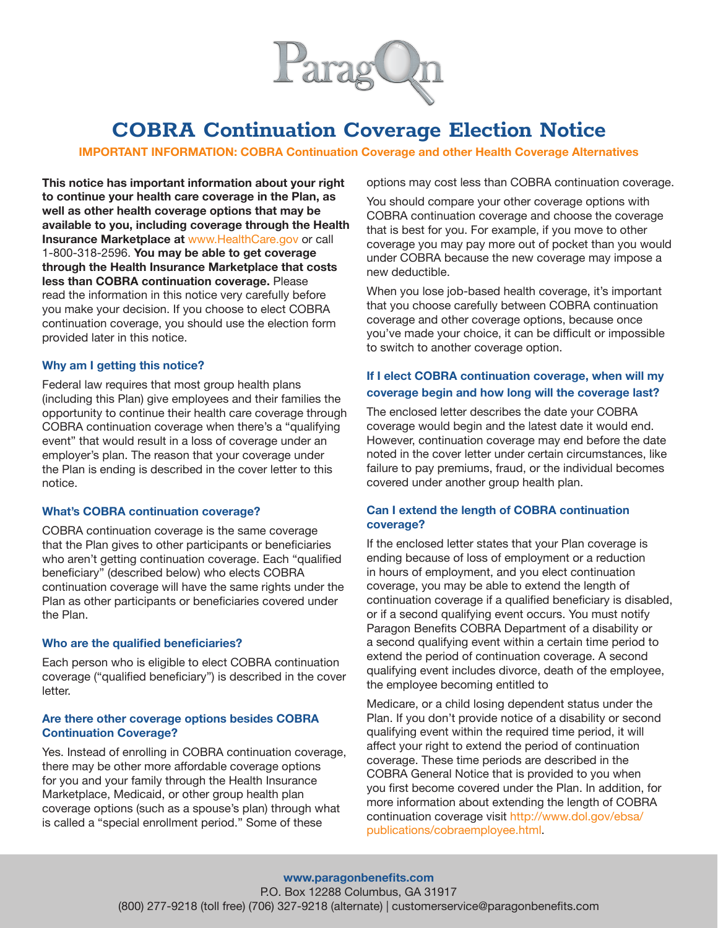

**IMPORTANT INFORMATION: COBRA Continuation Coverage and other Health Coverage Alternatives**

**This notice has important information about your right to continue your health care coverage in the Plan, as well as other health coverage options that may be available to you, including coverage through the Health Insurance Marketplace at** www.HealthCare.gov or call 1-800-318-2596. **You may be able to get coverage through the Health Insurance Marketplace that costs less than COBRA continuation coverage.** Please read the information in this notice very carefully before you make your decision. If you choose to elect COBRA continuation coverage, you should use the election form provided later in this notice.

#### **Why am I getting this notice?**

Federal law requires that most group health plans (including this Plan) give employees and their families the opportunity to continue their health care coverage through COBRA continuation coverage when there's a "qualifying event" that would result in a loss of coverage under an employer's plan. The reason that your coverage under the Plan is ending is described in the cover letter to this notice.

## **What's COBRA continuation coverage?**

COBRA continuation coverage is the same coverage that the Plan gives to other participants or beneficiaries who aren't getting continuation coverage. Each "qualified beneficiary" (described below) who elects COBRA continuation coverage will have the same rights under the Plan as other participants or beneficiaries covered under the Plan.

#### **Who are the qualified beneficiaries?**

Each person who is eligible to elect COBRA continuation coverage ("qualified beneficiary") is described in the cover letter.

### **Are there other coverage options besides COBRA Continuation Coverage?**

Yes. Instead of enrolling in COBRA continuation coverage, there may be other more affordable coverage options for you and your family through the Health Insurance Marketplace, Medicaid, or other group health plan coverage options (such as a spouse's plan) through what is called a "special enrollment period." Some of these

options may cost less than COBRA continuation coverage.

You should compare your other coverage options with COBRA continuation coverage and choose the coverage that is best for you. For example, if you move to other coverage you may pay more out of pocket than you would under COBRA because the new coverage may impose a new deductible.

When you lose job-based health coverage, it's important that you choose carefully between COBRA continuation coverage and other coverage options, because once you've made your choice, it can be difficult or impossible to switch to another coverage option.

# **If I elect COBRA continuation coverage, when will my coverage begin and how long will the coverage last?**

The enclosed letter describes the date your COBRA coverage would begin and the latest date it would end. However, continuation coverage may end before the date noted in the cover letter under certain circumstances, like failure to pay premiums, fraud, or the individual becomes covered under another group health plan.

# **Can I extend the length of COBRA continuation coverage?**

If the enclosed letter states that your Plan coverage is ending because of loss of employment or a reduction in hours of employment, and you elect continuation coverage, you may be able to extend the length of continuation coverage if a qualified beneficiary is disabled, or if a second qualifying event occurs. You must notify Paragon Benefits COBRA Department of a disability or a second qualifying event within a certain time period to extend the period of continuation coverage. A second qualifying event includes divorce, death of the employee, the employee becoming entitled to

Medicare, or a child losing dependent status under the Plan. If you don't provide notice of a disability or second qualifying event within the required time period, it will affect your right to extend the period of continuation coverage. These time periods are described in the COBRA General Notice that is provided to you when you first become covered under the Plan. In addition, for more information about extending the length of COBRA continuation coverage visit http://www.dol.gov/ebsa/ publications/cobraemployee.html.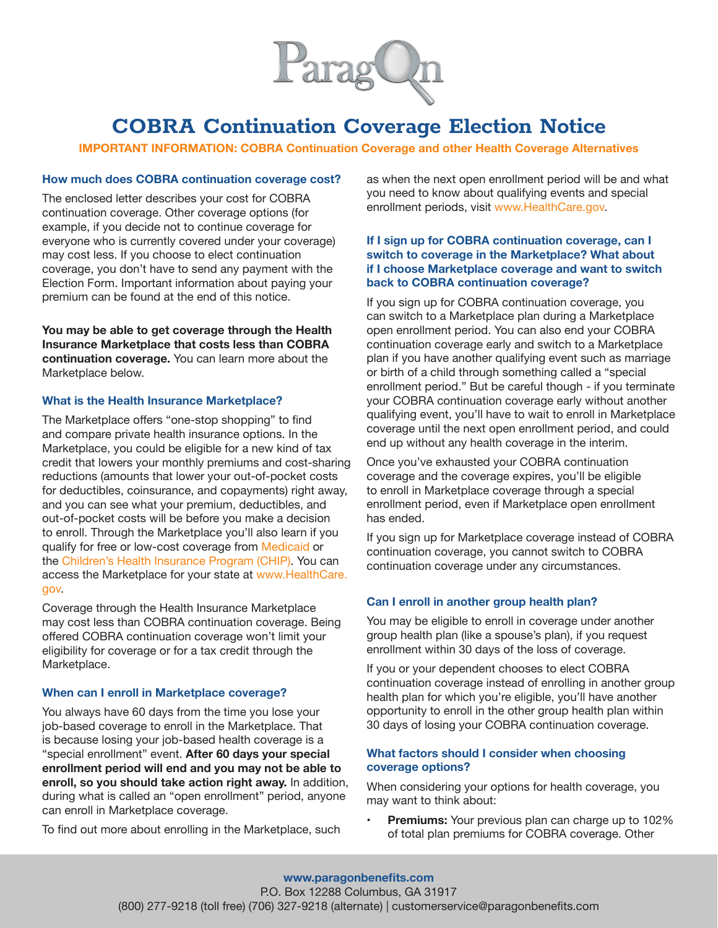

**IMPORTANT INFORMATION: COBRA Continuation Coverage and other Health Coverage Alternatives**

### **How much does COBRA continuation coverage cost?**

The enclosed letter describes your cost for COBRA continuation coverage. Other coverage options (for example, if you decide not to continue coverage for everyone who is currently covered under your coverage) may cost less. If you choose to elect continuation coverage, you don't have to send any payment with the Election Form. Important information about paying your premium can be found at the end of this notice.

**You may be able to get coverage through the Health Insurance Marketplace that costs less than COBRA continuation coverage.** You can learn more about the Marketplace below.

#### **What is the Health Insurance Marketplace?**

The Marketplace offers "one-stop shopping" to find and compare private health insurance options. In the Marketplace, you could be eligible for a new kind of tax credit that lowers your monthly premiums and cost-sharing reductions (amounts that lower your out-of-pocket costs for deductibles, coinsurance, and copayments) right away, and you can see what your premium, deductibles, and out-of-pocket costs will be before you make a decision to enroll. Through the Marketplace you'll also learn if you qualify for free or low-cost coverage from Medicaid or the Children's Health Insurance Program (CHIP). You can access the Marketplace for your state at www.HealthCare. gov.

Coverage through the Health Insurance Marketplace may cost less than COBRA continuation coverage. Being offered COBRA continuation coverage won't limit your eligibility for coverage or for a tax credit through the Marketplace.

## **When can I enroll in Marketplace coverage?**

You always have 60 days from the time you lose your job-based coverage to enroll in the Marketplace. That is because losing your job-based health coverage is a "special enrollment" event. **After 60 days your special enrollment period will end and you may not be able to enroll, so you should take action right away.** In addition, during what is called an "open enrollment" period, anyone can enroll in Marketplace coverage.

To find out more about enrolling in the Marketplace, such

as when the next open enrollment period will be and what you need to know about qualifying events and special enrollment periods, visit www.HealthCare.gov.

# **If I sign up for COBRA continuation coverage, can I switch to coverage in the Marketplace? What about if I choose Marketplace coverage and want to switch back to COBRA continuation coverage?**

If you sign up for COBRA continuation coverage, you can switch to a Marketplace plan during a Marketplace open enrollment period. You can also end your COBRA continuation coverage early and switch to a Marketplace plan if you have another qualifying event such as marriage or birth of a child through something called a "special enrollment period." But be careful though - if you terminate your COBRA continuation coverage early without another qualifying event, you'll have to wait to enroll in Marketplace coverage until the next open enrollment period, and could end up without any health coverage in the interim.

Once you've exhausted your COBRA continuation coverage and the coverage expires, you'll be eligible to enroll in Marketplace coverage through a special enrollment period, even if Marketplace open enrollment has ended.

If you sign up for Marketplace coverage instead of COBRA continuation coverage, you cannot switch to COBRA continuation coverage under any circumstances.

## **Can I enroll in another group health plan?**

You may be eligible to enroll in coverage under another group health plan (like a spouse's plan), if you request enrollment within 30 days of the loss of coverage.

If you or your dependent chooses to elect COBRA continuation coverage instead of enrolling in another group health plan for which you're eligible, you'll have another opportunity to enroll in the other group health plan within 30 days of losing your COBRA continuation coverage.

# **What factors should I consider when choosing coverage options?**

When considering your options for health coverage, you may want to think about:

**• Premiums:** Your previous plan can charge up to 102% of total plan premiums for COBRA coverage. Other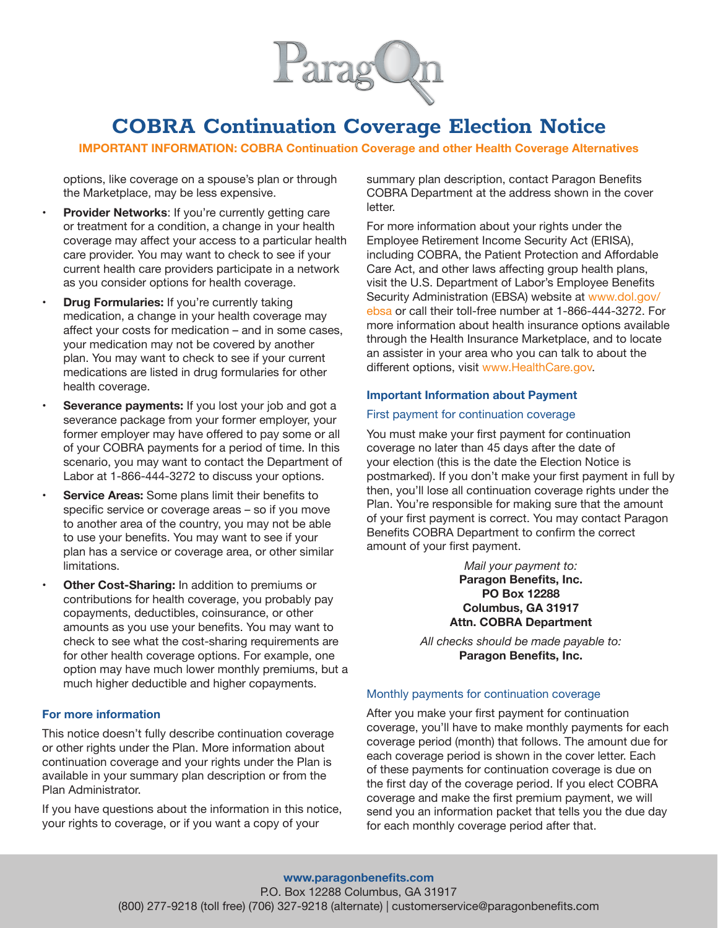

**IMPORTANT INFORMATION: COBRA Continuation Coverage and other Health Coverage Alternatives**

options, like coverage on a spouse's plan or through the Marketplace, may be less expensive.

- **• Provider Networks**: If you're currently getting care or treatment for a condition, a change in your health coverage may affect your access to a particular health care provider. You may want to check to see if your current health care providers participate in a network as you consider options for health coverage.
- **Drug Formularies:** If you're currently taking medication, a change in your health coverage may affect your costs for medication – and in some cases, your medication may not be covered by another plan. You may want to check to see if your current medications are listed in drug formularies for other health coverage.
- **• Severance payments:** If you lost your job and got a severance package from your former employer, your former employer may have offered to pay some or all of your COBRA payments for a period of time. In this scenario, you may want to contact the Department of Labor at 1-866-444-3272 to discuss your options.
- **• Service Areas:** Some plans limit their benefits to specific service or coverage areas – so if you move to another area of the country, you may not be able to use your benefits. You may want to see if your plan has a service or coverage area, or other similar limitations.
- **• Other Cost-Sharing:** In addition to premiums or contributions for health coverage, you probably pay copayments, deductibles, coinsurance, or other amounts as you use your benefits. You may want to check to see what the cost-sharing requirements are for other health coverage options. For example, one option may have much lower monthly premiums, but a much higher deductible and higher copayments.

# **For more information**

This notice doesn't fully describe continuation coverage or other rights under the Plan. More information about continuation coverage and your rights under the Plan is available in your summary plan description or from the Plan Administrator.

If you have questions about the information in this notice, your rights to coverage, or if you want a copy of your

summary plan description, contact Paragon Benefits COBRA Department at the address shown in the cover letter.

For more information about your rights under the Employee Retirement Income Security Act (ERISA), including COBRA, the Patient Protection and Affordable Care Act, and other laws affecting group health plans, visit the U.S. Department of Labor's Employee Benefits Security Administration (EBSA) website at www.dol.gov/ ebsa or call their toll-free number at 1-866-444-3272. For more information about health insurance options available through the Health Insurance Marketplace, and to locate an assister in your area who you can talk to about the different options, visit www.HealthCare.gov.

#### **Important Information about Payment**

### First payment for continuation coverage

You must make your first payment for continuation coverage no later than 45 days after the date of your election (this is the date the Election Notice is postmarked). If you don't make your first payment in full by then, you'll lose all continuation coverage rights under the Plan. You're responsible for making sure that the amount of your first payment is correct. You may contact Paragon Benefits COBRA Department to confirm the correct amount of your first payment.

> *Mail your payment to:* **Paragon Benefits, Inc. PO Box 12288 Columbus, GA 31917 Attn. COBRA Department**

*All checks should be made payable to:* **Paragon Benefits, Inc.**

#### Monthly payments for continuation coverage

After you make your first payment for continuation coverage, you'll have to make monthly payments for each coverage period (month) that follows. The amount due for each coverage period is shown in the cover letter. Each of these payments for continuation coverage is due on the first day of the coverage period. If you elect COBRA coverage and make the first premium payment, we will send you an information packet that tells you the due day for each monthly coverage period after that.